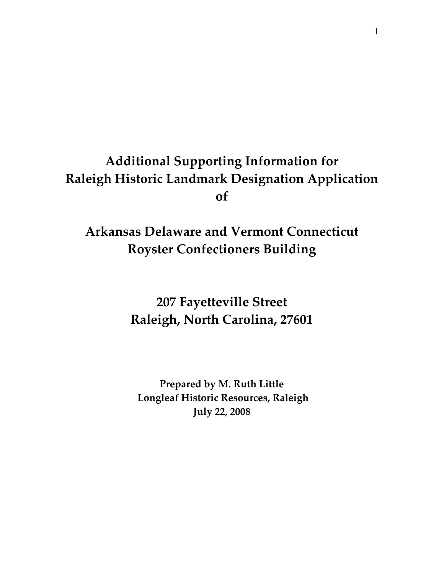# **Additional Supporting Information for Raleigh Historic Landmark Designation Application of**

## **Arkansas Delaware and Vermont Connecticut Royster Confectioners Building**

**207 Fayetteville Street Raleigh, North Carolina, 27601**

**Prepared by M. Ruth Little Longleaf Historic Resources, Raleigh July 22, 2008**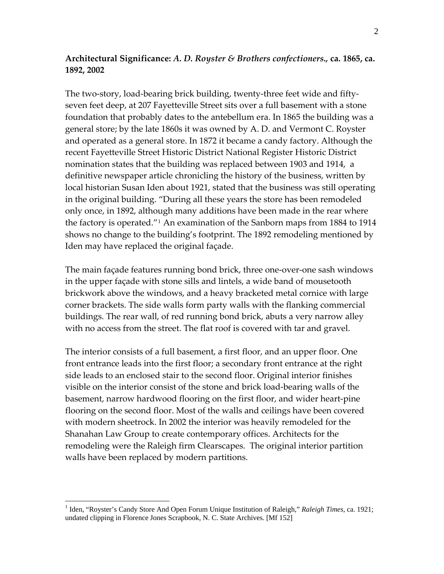### **Architectural Significance:** *A. D. Royster & Brothers confectioners.,* **ca. 1865, ca. 1892, 2002**

The two‐story, load‐bearing brick building, twenty‐three feet wide and fifty‐ seven feet deep, at 207 Fayetteville Street sits over a full basement with a stone foundation that probably dates to the antebellum era. In 1865 the building was a general store; by the late 1860s it was owned by A. D. and Vermont C. Royster and operated as a general store. In 1872 it became a candy factory. Although the recent Fayetteville Street Historic District National Register Historic District nomination states that the building was replaced between 1903 and 1914, a definitive newspaper article chronicling the history of the business, written by local historian Susan Iden about 1921, stated that the business was still operating in the original building. "During all these years the store has been remodeled only once, in 1892, although many additions have been made in the rear where the factory is operated."[1](#page-1-0) An examination of the Sanborn maps from 1884 to 1914 shows no change to the building's footprint. The 1892 remodeling mentioned by Iden may have replaced the original façade.

The main façade features running bond brick, three one‐over‐one sash windows in the upper façade with stone sills and lintels, a wide band of mousetooth brickwork above the windows, and a heavy bracketed metal cornice with large corner brackets. The side walls form party walls with the flanking commercial buildings. The rear wall, of red running bond brick, abuts a very narrow alley with no access from the street. The flat roof is covered with tar and gravel.

The interior consists of a full basement, a first floor, and an upper floor. One front entrance leads into the first floor; a secondary front entrance at the right side leads to an enclosed stair to the second floor. Original interior finishes visible on the interior consist of the stone and brick load‐bearing walls of the basement, narrow hardwood flooring on the first floor, and wider heart‐pine flooring on the second floor. Most of the walls and ceilings have been covered with modern sheetrock. In 2002 the interior was heavily remodeled for the Shanahan Law Group to create contemporary offices. Architects for the remodeling were the Raleigh firm Clearscapes. The original interior partition walls have been replaced by modern partitions.

<span id="page-1-0"></span><sup>&</sup>lt;sup>1</sup> Iden, "Royster's Candy Store And Open Forum Unique Institution of Raleigh," *Raleigh Times*, ca. 1921; undated clipping in Florence Jones Scrapbook, N. C. State Archives. [Mf 152]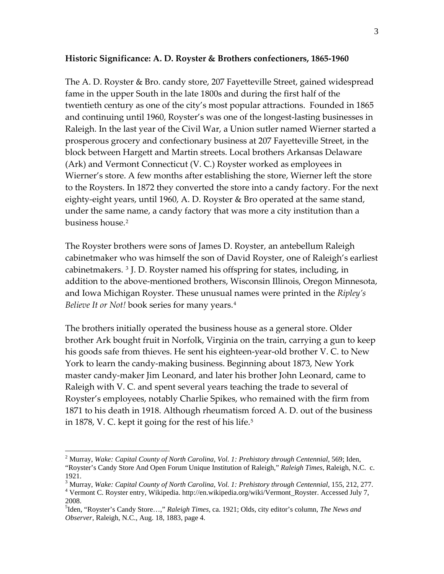### **Historic Significance: A. D. Royster & Brothers confectioners, 1865‐1960**

The A. D. Royster & Bro. candy store, 207 Fayetteville Street, gained widespread fame in the upper South in the late 1800s and during the first half of the twentieth century as one of the city's most popular attractions. Founded in 1865 and continuing until 1960, Royster's was one of the longest‐lasting businesses in Raleigh. In the last year of the Civil War, a Union sutler named Wierner started a prosperous grocery and confectionary business at 207 Fayetteville Street, in the block between Hargett and Martin streets. Local brothers Arkansas Delaware (Ark) and Vermont Connecticut (V. C.) Royster worked as employees in Wierner's store. A few months after establishing the store, Wierner left the store to the Roysters. In 1872 they converted the store into a candy factory. For the next eighty-eight years, until 1960, A. D. Royster & Bro operated at the same stand, under the same name, a candy factory that was more a city institution than a business house.<sup>[2](#page-2-0)</sup>

The Royster brothers were sons of James D. Royster, an antebellum Raleigh cabinetmaker who was himself the son of David Royster, one of Raleigh's earliest cabinetmakers. [3](#page-2-1) J. D. Royster named his offspring for states, including, in addition to the above‐mentioned brothers, Wisconsin Illinois, Oregon Minnesota, and Iowa Michigan Royster. These unusual names were printed in the *Ripley's Believe It or Not!* book series for many years.[4](#page-2-2)

The brothers initially operated the business house as a general store. Older brother Ark bought fruit in Norfolk, Virginia on the train, carrying a gun to keep his goods safe from thieves. He sent his eighteen‐year‐old brother V. C. to New York to learn the candy‐making business. Beginning about 1873, New York master candy‐maker Jim Leonard, and later his brother John Leonard, came to Raleigh with V. C. and spent several years teaching the trade to several of Royster's employees, notably Charlie Spikes, who remained with the firm from 1871 to his death in 1918. Although rheumatism forced A. D. out of the business in 1878, V. C. kept it going for the rest of his life.<sup>[5](#page-2-3)</sup>

<span id="page-2-0"></span><sup>2</sup> Murray, *Wake: Capital County of North Carolina, Vol. 1: Prehistory through Centennial*, 569; Iden, "Royster's Candy Store And Open Forum Unique Institution of Raleigh," *Raleigh Times,* Raleigh, N.C. c. 1921.

<span id="page-2-1"></span><sup>&</sup>lt;sup>3</sup> Murray, *Wake: Capital County of North Carolina, Vol. 1: Prehistory through Centennial, 155, 212, 277.<br><sup>4</sup> Vermont C. Boyster entry, Willingdie, http://en.wikipedie.org/wiki/Vermont, Boyster, Accessed July 7.* 

<span id="page-2-2"></span>Vermont C. Royster entry, Wikipedia. http://en.wikipedia.org/wiki/Vermont\_Royster. Accessed July 7, 2008.

<span id="page-2-3"></span><sup>5</sup> Iden, "Royster's Candy Store…," *Raleigh Times,* ca. 1921; Olds, city editor's column, *The News and Observer,* Raleigh, N.C., Aug. 18, 1883, page 4.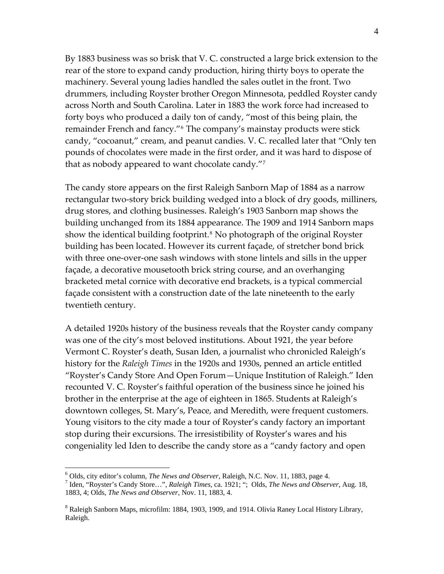By 1883 business was so brisk that V. C. constructed a large brick extension to the rear of the store to expand candy production, hiring thirty boys to operate the machinery. Several young ladies handled the sales outlet in the front. Two drummers, including Royster brother Oregon Minnesota, peddled Royster candy across North and South Carolina. Later in 1883 the work force had increased to forty boys who produced a daily ton of candy, "most of this being plain, the remainder French and fancy."[6](#page-3-0) The company's mainstay products were stick candy, "cocoanut," cream, and peanut candies. V. C. recalled later that "Only ten pounds of chocolates were made in the first order, and it was hard to dispose of that as nobody appeared to want chocolate candy."[7](#page-3-1)

The candy store appears on the first Raleigh Sanborn Map of 1884 as a narrow rectangular two-story brick building wedged into a block of dry goods, milliners, drug stores, and clothing businesses. Raleigh's 1903 Sanborn map shows the building unchanged from its 1884 appearance. The 1909 and 1914 Sanborn maps show the identical building footprint.<sup>[8](#page-3-2)</sup> No photograph of the original Royster building has been located. However its current façade, of stretcher bond brick with three one-over-one sash windows with stone lintels and sills in the upper façade, a decorative mousetooth brick string course, and an overhanging bracketed metal cornice with decorative end brackets, is a typical commercial façade consistent with a construction date of the late nineteenth to the early twentieth century.

A detailed 1920s history of the business reveals that the Royster candy company was one of the city's most beloved institutions. About 1921, the year before Vermont C. Royster's death, Susan Iden, a journalist who chronicled Raleigh's history for the *Raleigh Times* in the 1920s and 1930s, penned an article entitled "Royster's Candy Store And Open Forum—Unique Institution of Raleigh." Iden recounted V. C. Royster's faithful operation of the business since he joined his brother in the enterprise at the age of eighteen in 1865. Students at Raleigh's downtown colleges, St. Mary's, Peace, and Meredith, were frequent customers. Young visitors to the city made a tour of Royster's candy factory an important stop during their excursions. The irresistibility of Royster's wares and his congeniality led Iden to describe the candy store as a "candy factory and open

<sup>&</sup>lt;sup>6</sup> Olds, city editor's column, *The News and Observer*, Raleigh, N.C. Nov. 11, 1883, page 4.<br><sup>7</sup> Idan "Boystar's Candy Store...", *Balgish Times*, go. 1921; ":.. Olds. *The Nave and Observ* 

<span id="page-3-1"></span><span id="page-3-0"></span>Iden, "Royster's Candy Store…", *Raleigh Times,* ca. 1921; "; Olds, *The News and Observer,* Aug. 18, 1883, 4; Olds, *The News and Observer,* Nov. 11, 1883, 4.

<span id="page-3-2"></span><sup>&</sup>lt;sup>8</sup> Raleigh Sanborn Maps, microfilm: 1884, 1903, 1909, and 1914. Olivia Raney Local History Library, Raleigh.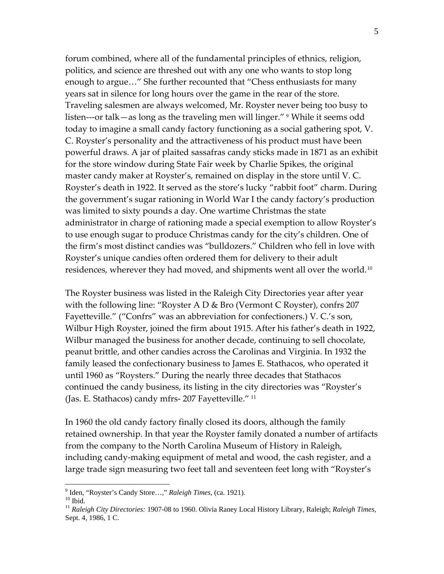forum combined, where all of the fundamental principles of ethnics, religion, politics, and science are threshed out with any one who wants to stop long enough to argue…" She further recounted that "Chess enthusiasts for many years sat in silence for long hours over the game in the rear of the store. Traveling salesmen are always welcomed, Mr. Royster never being too busy to listen—-or talk—as long as the traveling men will linger." <sup>[9](#page-4-0)</sup> While it seems odd today to imagine a small candy factory functioning as a social gathering spot, V. C. Royster's personality and the attractiveness of his product must have been powerful draws. A jar of plaited sassafras candy sticks made in 1871 as an exhibit for the store window during State Fair week by Charlie Spikes, the original master candy maker at Royster's, remained on display in the store until V. C. Royster's death in 1922. It served as the store's lucky "rabbit foot" charm. During the government's sugar rationing in World War I the candy factory's production was limited to sixty pounds a day. One wartime Christmas the state administrator in charge of rationing made a special exemption to allow Royster's to use enough sugar to produce Christmas candy for the city's children. One of the firm's most distinct candies was "bulldozers." Children who fell in love with Royster's unique candies often ordered them for delivery to their adult residences, wherever they had moved, and shipments went all over the world.<sup>[10](#page-4-1)</sup>

The Royster business was listed in the Raleigh City Directories year after year with the following line: "Royster A D & Bro (Vermont C Royster), confrs 207 Fayetteville." ("Confrs" was an abbreviation for confectioners.) V. C.'s son, Wilbur High Royster, joined the firm about 1915. After his father's death in 1922, Wilbur managed the business for another decade, continuing to sell chocolate, peanut brittle, and other candies across the Carolinas and Virginia. In 1932 the family leased the confectionary business to James E. Stathacos, who operated it until 1960 as "Roysters." During the nearly three decades that Stathacos continued the candy business, its listing in the city directories was "Royster's (Jas. E. Stathacos) candy mfrs‐ 207 Fayetteville." [11](#page-4-2)

In 1960 the old candy factory finally closed its doors, although the family retained ownership. In that year the Royster family donated a number of artifacts from the company to the North Carolina Museum of History in Raleigh, including candy‐making equipment of metal and wood, the cash register, and a large trade sign measuring two feet tall and seventeen feet long with "Royster's

<sup>&</sup>lt;sup>9</sup> Iden, "Royster's Candy Store...," *Raleigh Times*, (ca. 1921).<br><sup>10</sup> Ibid.

<span id="page-4-2"></span><span id="page-4-1"></span><span id="page-4-0"></span><sup>&</sup>lt;sup>10</sup> Ibid.<br><sup>11</sup> *Raleigh City Directories:* 1907-08 to 1960. Olivia Raney Local History Library, Raleigh; *Raleigh Times*, Sept. 4, 1986, 1 C.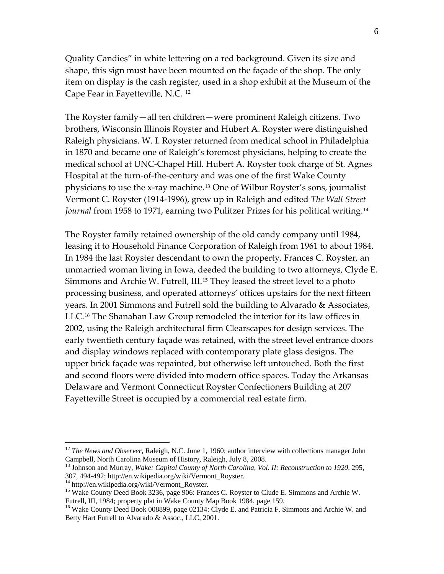Quality Candies" in white lettering on a red background. Given its size and shape, this sign must have been mounted on the façade of the shop. The only item on display is the cash register, used in a shop exhibit at the Museum of the Cape Fear in Fayetteville, N.C. [12](#page-5-0)

The Royster family—all ten children—were prominent Raleigh citizens. Two brothers, Wisconsin Illinois Royster and Hubert A. Royster were distinguished Raleigh physicians. W. I. Royster returned from medical school in Philadelphia in 1870 and became one of Raleigh's foremost physicians, helping to create the medical school at UNC‐Chapel Hill. Hubert A. Royster took charge of St. Agnes Hospital at the turn‐of‐the‐century and was one of the first Wake County physicians to use the x‐ray machine.[13](#page-5-1) One of Wilbur Royster's sons, journalist Vermont C. Royster (1914‐1996), grew up in Raleigh and edited *The Wall Street Journal* from 1958 to 1971, earning two Pulitzer Prizes for his political writing.[14](#page-5-2)

The Royster family retained ownership of the old candy company until 1984, leasing it to Household Finance Corporation of Raleigh from 1961 to about 1984. In 1984 the last Royster descendant to own the property, Frances C. Royster, an unmarried woman living in Iowa, deeded the building to two attorneys, Clyde E. Simmons and Archie W. Futrell, III.<sup>[15](#page-5-3)</sup> They leased the street level to a photo processing business, and operated attorneys' offices upstairs for the next fifteen years. In 2001 Simmons and Futrell sold the building to Alvarado & Associates, LLC.[16](#page-5-4) The Shanahan Law Group remodeled the interior for its law offices in 2002, using the Raleigh architectural firm Clearscapes for design services. The early twentieth century façade was retained, with the street level entrance doors and display windows replaced with contemporary plate glass designs. The upper brick façade was repainted, but otherwise left untouched. Both the first and second floors were divided into modern office spaces. Today the Arkansas Delaware and Vermont Connecticut Royster Confectioners Building at 207 Fayetteville Street is occupied by a commercial real estate firm.

<span id="page-5-0"></span><sup>&</sup>lt;sup>12</sup> *The News and Observer*, Raleigh, N.C. June 1, 1960; author interview with collections manager John Campbell, North Carolina Museum of History, Raleigh, July 8, 2008.

<span id="page-5-1"></span><sup>&</sup>lt;sup>13</sup> Johnson and Murray, *Wake: Capital County of North Carolina, Vol. II: Reconstruction to 1920, 295,* 307, 494-492; http://en.wikipedia.org/wiki/Vermont\_Royster.

<span id="page-5-2"></span><sup>&</sup>lt;sup>14</sup> http://en.wikipedia.org/wiki/Vermont\_Royster.

<span id="page-5-3"></span><sup>&</sup>lt;sup>15</sup> Wake County Deed Book 3236, page 906: Frances C. Royster to Clude E. Simmons and Archie W. Futrell, III, 1984; property plat in Wake County Map Book 1984, page 159.

<span id="page-5-4"></span><sup>&</sup>lt;sup>16</sup> Wake County Deed Book 008899, page 02134: Clyde E. and Patricia F. Simmons and Archie W. and Betty Hart Futrell to Alvarado & Assoc., LLC, 2001.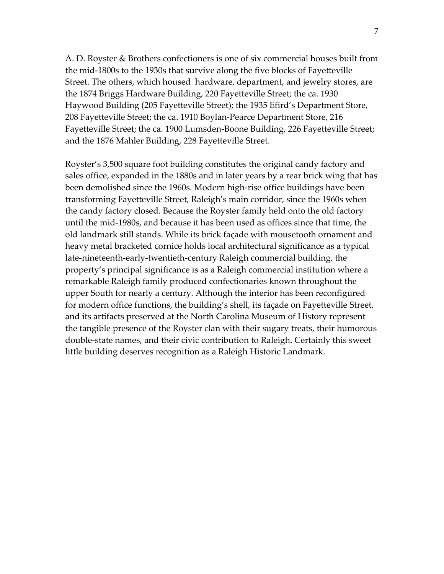A. D. Royster & Brothers confectioners is one of six commercial houses built from the mid‐1800s to the 1930s that survive along the five blocks of Fayetteville Street. The others, which housed hardware, department, and jewelry stores, are the 1874 Briggs Hardware Building, 220 Fayetteville Street; the ca. 1930 Haywood Building (205 Fayetteville Street); the 1935 Efird's Department Store, 208 Fayetteville Street; the ca. 1910 Boylan‐Pearce Department Store, 216 Fayetteville Street; the ca. 1900 Lumsden‐Boone Building, 226 Fayetteville Street; and the 1876 Mahler Building, 228 Fayetteville Street.

Royster's 3,500 square foot building constitutes the original candy factory and sales office, expanded in the 1880s and in later years by a rear brick wing that has been demolished since the 1960s. Modern high‐rise office buildings have been transforming Fayetteville Street, Raleigh's main corridor, since the 1960s when the candy factory closed. Because the Royster family held onto the old factory until the mid‐1980s, and because it has been used as offices since that time, the old landmark still stands. While its brick façade with mousetooth ornament and heavy metal bracketed cornice holds local architectural significance as a typical late‐nineteenth‐early‐twentieth‐century Raleigh commercial building, the property's principal significance is as a Raleigh commercial institution where a remarkable Raleigh family produced confectionaries known throughout the upper South for nearly a century. Although the interior has been reconfigured for modern office functions, the building's shell, its façade on Fayetteville Street, and its artifacts preserved at the North Carolina Museum of History represent the tangible presence of the Royster clan with their sugary treats, their humorous double‐state names, and their civic contribution to Raleigh. Certainly this sweet little building deserves recognition as a Raleigh Historic Landmark.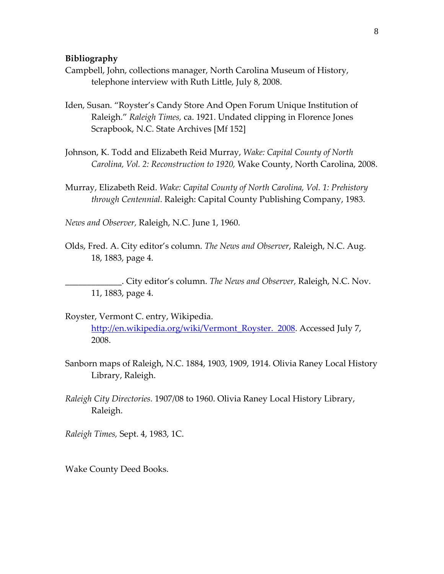#### **Bibliography**

- Campbell, John, collections manager, North Carolina Museum of History, telephone interview with Ruth Little, July 8, 2008.
- Iden, Susan. "Royster's Candy Store And Open Forum Unique Institution of Raleigh." *Raleigh Times,* ca. 1921. Undated clipping in Florence Jones Scrapbook, N.C. State Archives [Mf 152]
- Johnson, K. Todd and Elizabeth Reid Murray, *Wake: Capital County of North Carolina, Vol. 2: Reconstruction to 1920,* Wake County, North Carolina, 2008.
- Murray, Elizabeth Reid. *Wake: Capital County of North Carolina, Vol. 1: Prehistory through Centennial.* Raleigh: Capital County Publishing Company, 1983.
- *News and Observer,* Raleigh, N.C. June 1, 1960.
- Olds, Fred. A. City editor's column. *The News and Observer*, Raleigh, N.C. Aug. 18, 1883, page 4.

\_\_\_\_\_\_\_\_\_\_\_\_\_. City editor's column. *The News and Observer,* Raleigh, N.C. Nov. 11, 1883, page 4.

- Royster, Vermont C. entry, Wikipedia. [http://en.wikipedia.org/wiki/Vermont\\_Royster.](http://en.wikipedia.org/wiki/Vermont_Royster.%20%202008) 2008. Accessed July 7, 2008.
- Sanborn maps of Raleigh, N.C. 1884, 1903, 1909, 1914. Olivia Raney Local History Library, Raleigh.
- *Raleigh City Directories.* 1907/08 to 1960. Olivia Raney Local History Library, Raleigh.
- *Raleigh Times,* Sept. 4, 1983, 1C.

Wake County Deed Books.